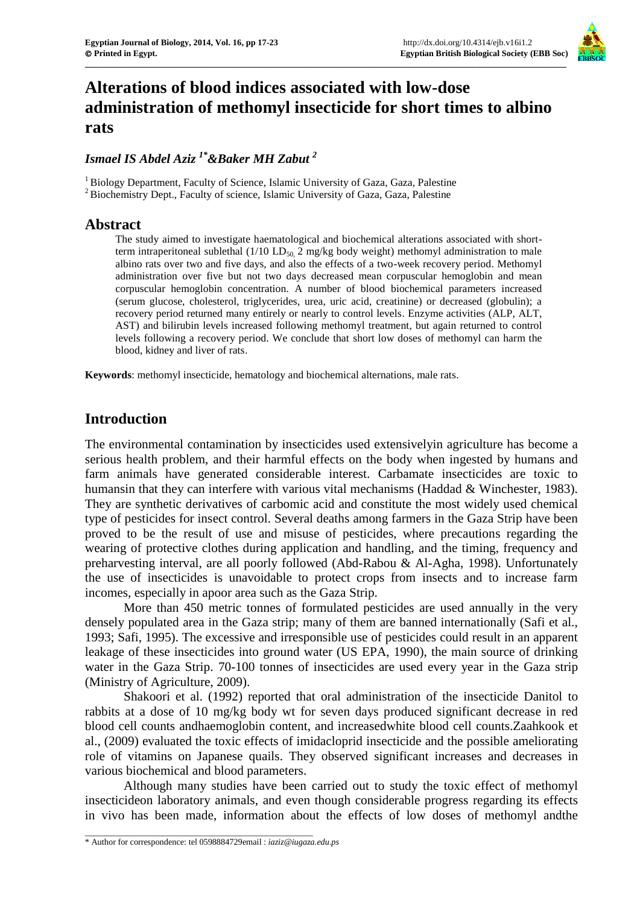

# **Alterations of blood indices associated with low-dose administration of methomyl insecticide for short times to albino rats**

### *Ismael IS Abdel Aziz 1\*&Baker MH Zabut <sup>2</sup>*

<sup>1</sup> Biology Department, Faculty of Science, Islamic University of Gaza, Gaza, Palestine <sup>2</sup> Biochemistry Dept., Faculty of science, Islamic University of Gaza, Gaza, Palestine

### **Abstract**

The study aimed to investigate haematological and biochemical alterations associated with shortterm intraperitoneal sublethal  $(1/10 \text{ LD}_{50} \text{2 mg/kg}$  body weight) methomyl administration to male albino rats over two and five days, and also the effects of a two-week recovery period. Methomyl administration over five but not two days decreased mean corpuscular hemoglobin and mean corpuscular hemoglobin concentration. A number of blood biochemical parameters increased (serum glucose, cholesterol, triglycerides, urea, uric acid, creatinine) or decreased (globulin); a recovery period returned many entirely or nearly to control levels. Enzyme activities (ALP, ALT, AST) and bilirubin levels increased following methomyl treatment, but again returned to control levels following a recovery period. We conclude that short low doses of methomyl can harm the blood, kidney and liver of rats.

**Keywords**: methomyl insecticide, hematology and biochemical alternations, male rats.

### **Introduction**

The environmental contamination by insecticides used extensivelyin agriculture has become a serious health problem, and their harmful effects on the body when ingested by humans and farm animals have generated considerable interest. Carbamate insecticides are toxic to humansin that they can interfere with various vital mechanisms (Haddad & Winchester, 1983). They are synthetic derivatives of carbomic acid and constitute the most widely used chemical type of pesticides for insect control. Several deaths among farmers in the Gaza Strip have been proved to be the result of use and misuse of pesticides, where precautions regarding the wearing of protective clothes during application and handling, and the timing, frequency and preharvesting interval, are all poorly followed (Abd-Rabou & Al-Agha, 1998). Unfortunately the use of insecticides is unavoidable to protect crops from insects and to increase farm incomes, especially in apoor area such as the Gaza Strip.

More than 450 metric tonnes of formulated pesticides are used annually in the very densely populated area in the Gaza strip; many of them are banned internationally (Safi et al., 1993; Safi, 1995). The excessive and irresponsible use of pesticides could result in an apparent leakage of these insecticides into ground water (US EPA, 1990), the main source of drinking water in the Gaza Strip. 70-100 tonnes of insecticides are used every year in the Gaza strip (Ministry of Agriculture, 2009).

Shakoori et al. (1992) reported that oral administration of the insecticide Danitol to rabbits at a dose of 10 mg/kg body wt for seven days produced significant decrease in red blood cell counts andhaemoglobin content, and increasedwhite blood cell counts.Zaahkook et al., (2009) evaluated the toxic effects of imidacloprid insecticide and the possible ameliorating role of vitamins on Japanese quails. They observed significant increases and decreases in various biochemical and blood parameters.

Although many studies have been carried out to study the toxic effect of methomyl insecticideon laboratory animals, and even though considerable progress regarding its effects in vivo has been made, information about the effects of low doses of methomyl andthe

\_\_\_\_\_\_\_\_\_\_\_\_\_\_\_\_\_\_\_\_\_\_\_\_\_\_\_\_\_\_\_\_\_\_\_\_\_\_\_\_\_\_\_\_\_\_\_\_\_\_\_\_\_

<sup>\*</sup> Author for correspondence: tel 0598884729email : *iaziz@iugaza.edu.ps*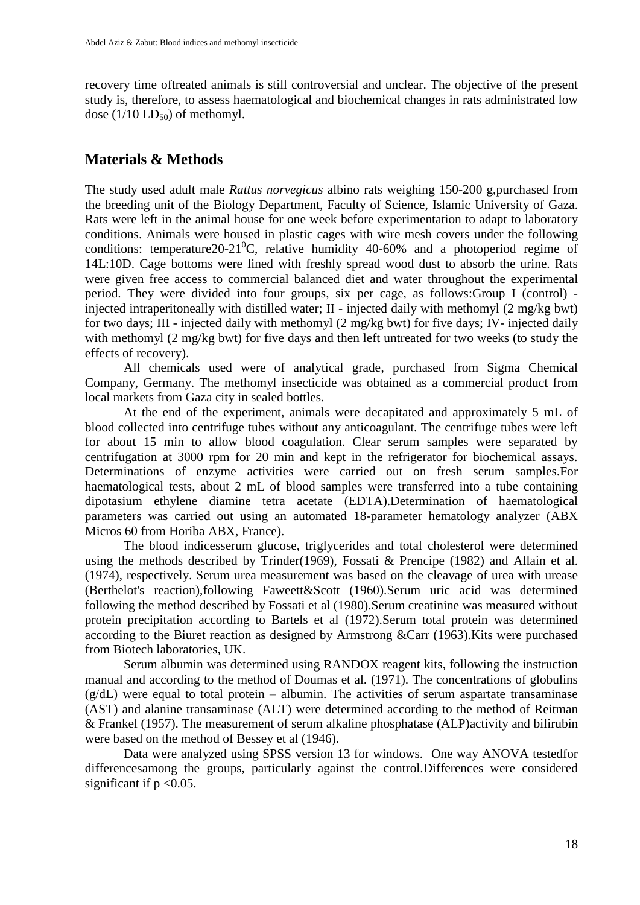recovery time oftreated animals is still controversial and unclear. The objective of the present study is, therefore, to assess haematological and biochemical changes in rats administrated low dose  $(1/10 \text{ LD}_5)$  of methomyl.

# **Materials & Methods**

The study used adult male *Rattus norvegicus* albino rats weighing 150-200 g,purchased from the breeding unit of the Biology Department, Faculty of Science, Islamic University of Gaza. Rats were left in the animal house for one week before experimentation to adapt to laboratory conditions. Animals were housed in plastic cages with wire mesh covers under the following conditions: temperature 20-21<sup>°</sup>C, relative humidity 40-60% and a photoperiod regime of 14L:10D. Cage bottoms were lined with freshly spread wood dust to absorb the urine. Rats were given free access to commercial balanced diet and water throughout the experimental period. They were divided into four groups, six per cage, as follows:Group I (control) injected intraperitoneally with distilled water; II - injected daily with methomyl (2 mg/kg bwt) for two days; III - injected daily with methomyl (2 mg/kg bwt) for five days; IV- injected daily with methomyl (2 mg/kg bwt) for five days and then left untreated for two weeks (to study the effects of recovery).

All chemicals used were of analytical grade, purchased from Sigma Chemical Company, Germany. The methomyl insecticide was obtained as a commercial product from local markets from Gaza city in sealed bottles.

At the end of the experiment, animals were decapitated and approximately 5 mL of blood collected into centrifuge tubes without any anticoagulant. The centrifuge tubes were left for about 15 min to allow blood coagulation. Clear serum samples were separated by centrifugation at 3000 rpm for 20 min and kept in the refrigerator for biochemical assays. Determinations of enzyme activities were carried out on fresh serum samples.For haematological tests, about 2 mL of blood samples were transferred into a tube containing dipotasium ethylene diamine tetra acetate (EDTA).Determination of haematological parameters was carried out using an automated 18-parameter hematology analyzer (ABX Micros 60 from Horiba ABX, France).

The blood indicesserum glucose, triglycerides and total cholesterol were determined using the methods described by Trinder(1969), Fossati & Prencipe (1982) and Allain et al. (1974), respectively. Serum urea measurement was based on the cleavage of urea with urease (Berthelot's reaction),following Faweett&Scott (1960).Serum uric acid was determined following the method described by Fossati et al (1980).Serum creatinine was measured without protein precipitation according to Bartels et al (1972).Serum total protein was determined according to the Biuret reaction as designed by Armstrong &Carr (1963).Kits were purchased from Biotech laboratories, UK.

Serum albumin was determined using RANDOX reagent kits, following the instruction manual and according to the method of Doumas et al. (1971). The concentrations of globulins  $(g/dL)$  were equal to total protein – albumin. The activities of serum aspartate transaminase (AST) and alanine transaminase (ALT) were determined according to the method of Reitman & Frankel (1957). The measurement of serum alkaline phosphatase (ALP)activity and bilirubin were based on the method of Bessey et al (1946).

Data were analyzed using SPSS version 13 for windows. One way ANOVA testedfor differencesamong the groups, particularly against the control.Differences were considered significant if  $p < 0.05$ .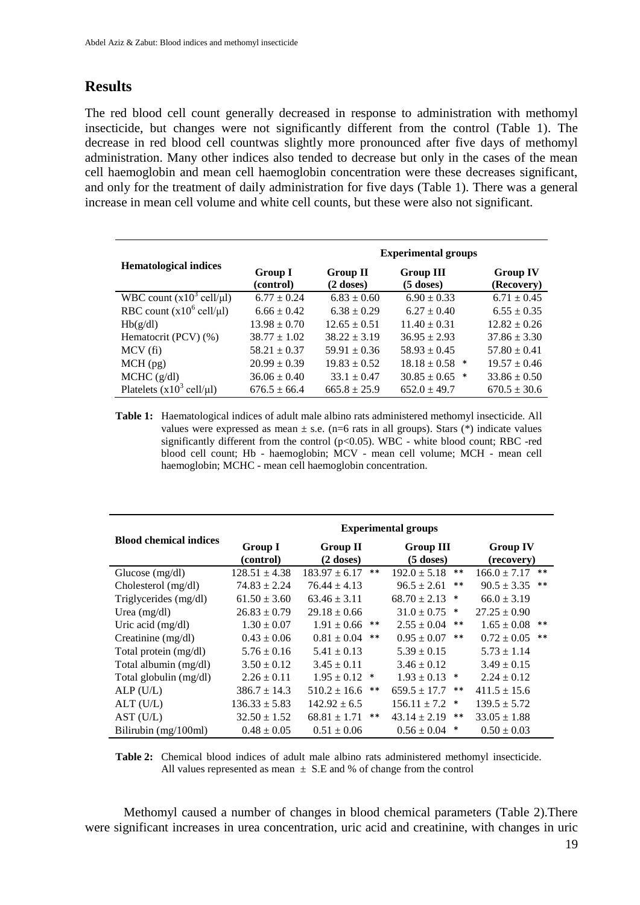# **Results**

The red blood cell count generally decreased in response to administration with methomyl insecticide, but changes were not significantly different from the control (Table 1). The decrease in red blood cell countwas slightly more pronounced after five days of methomyl administration. Many other indices also tended to decrease but only in the cases of the mean cell haemoglobin and mean cell haemoglobin concentration were these decreases significant, and only for the treatment of daily administration for five days (Table 1). There was a general increase in mean cell volume and white cell counts, but these were also not significant.

| <b>Hematological indices</b>                 |                      | <b>Experimental groups</b>     |                                 |                               |
|----------------------------------------------|----------------------|--------------------------------|---------------------------------|-------------------------------|
|                                              | Group I<br>(control) | <b>Group II</b><br>$(2$ doses) | <b>Group III</b><br>$(5$ doses) | <b>Group IV</b><br>(Recovery) |
| WBC count $(x10^3 \text{ cell/}\mu\text{I})$ | $6.77 \pm 0.24$      | $6.83 \pm 0.60$                | $6.90 \pm 0.33$                 | $6.71 \pm 0.45$               |
| RBC count $(x10^6 \text{ cell/}\mu\text{I})$ | $6.66 \pm 0.42$      | $6.38 \pm 0.29$                | $6.27 \pm 0.40$                 | $6.55 \pm 0.35$               |
| Hb(g/dl)                                     | $13.98 \pm 0.70$     | $12.65 \pm 0.51$               | $11.40 \pm 0.31$                | $12.82 \pm 0.26$              |
| Hematocrit (PCV) (%)                         | $38.77 \pm 1.02$     | $38.22 \pm 3.19$               | $36.95 \pm 2.93$                | $37.86 \pm 3.30$              |
| $MCV(f_i)$                                   | $58.21 \pm 0.37$     | $59.91 \pm 0.36$               | $58.93 \pm 0.45$                | $57.80 \pm 0.41$              |
| $MCH$ (pg)                                   | $20.99 \pm 0.39$     | $19.83 \pm 0.52$               | $18.18 \pm 0.58$ *              | $19.57 \pm 0.46$              |
| $MCHC$ (g/dl)                                | $36.06 \pm 0.40$     | $33.1 \pm 0.47$                | $30.85 \pm 0.65$<br>$\ast$      | $33.86 \pm 0.50$              |
| Platelets $(x10^3 \text{ cell/}\mu\text{I})$ | $676.5 \pm 66.4$     | $665.8 \pm 25.9$               | $652.0 \pm 49.7$                | $670.5 \pm 30.6$              |

**Table 1:** Haematological indices of adult male albino rats administered methomyl insecticide. All values were expressed as mean  $\pm$  s.e. (n=6 rats in all groups). Stars (\*) indicate values significantly different from the control ( $p<0.05$ ). WBC - white blood count; RBC -red blood cell count; Hb - haemoglobin; MCV - mean cell volume; MCH - mean cell haemoglobin; MCHC - mean cell haemoglobin concentration.

|                               | <b>Experimental groups</b>  |                                |                                 |                               |  |
|-------------------------------|-----------------------------|--------------------------------|---------------------------------|-------------------------------|--|
| <b>Blood chemical indices</b> | <b>Group I</b><br>(control) | <b>Group II</b><br>$(2$ doses) | <b>Group III</b><br>$(5$ doses) | <b>Group IV</b><br>(recovery) |  |
| Glucose $(mg/dl)$             | $128.51 \pm 4.38$           | $183.97 \pm 6.17$<br>$***$     | $192.0 \pm 5.18$<br>$***$       | $166.0 \pm 7.17$<br>**        |  |
| Cholesterol (mg/dl)           | $74.83 \pm 2.24$            | $76.44 \pm 4.13$               | $***$<br>$96.5 \pm 2.61$        | $***$<br>$90.5 \pm 3.35$      |  |
| Triglycerides (mg/dl)         | $61.50 \pm 3.60$            | $63.46 \pm 3.11$               | $68.70 \pm 2.13$<br>$\ast$      | $66.0 \pm 3.19$               |  |
| Urea $(mg/dl)$                | $26.83 \pm 0.79$            | $29.18 \pm 0.66$               | $31.0 \pm 0.75$<br>$\ast$       | $27.25 \pm 0.90$              |  |
| Uric acid (mg/dl)             | $1.30 \pm 0.07$             | $1.91 \pm 0.66$<br>$***$       | $2.55 \pm 0.04$<br>$***$        | $***$<br>$1.65 \pm 0.08$      |  |
| Creatinine (mg/dl)            | $0.43 \pm 0.06$             | $0.81 \pm 0.04$<br>$***$       | $***$<br>$0.95 \pm 0.07$        | $***$<br>$0.72 \pm 0.05$      |  |
| Total protein (mg/dl)         | $5.76 \pm 0.16$             | $5.41 \pm 0.13$                | $5.39 \pm 0.15$                 | $5.73 \pm 1.14$               |  |
| Total albumin (mg/dl)         | $3.50 \pm 0.12$             | $3.45 \pm 0.11$                | $3.46 \pm 0.12$                 | $3.49 \pm 0.15$               |  |
| Total globulin (mg/dl)        | $2.26 \pm 0.11$             | $1.95 \pm 0.12$ *              | $1.93 \pm 0.13$<br>$\ast$       | $2.24 \pm 0.12$               |  |
| ALP(U/L)                      | $386.7 \pm 14.3$            | $510.2 \pm 16.6$<br>$***$      | $659.5 \pm 17.7$<br>$***$       | $411.5 \pm 15.6$              |  |
| $ALT$ (U/L)                   | $136.33 \pm 5.83$           | $142.92 \pm 6.5$               | $156.11 \pm 7.2$<br>$\ast$      | $139.5 \pm 5.72$              |  |
| AST (U/L)                     | $32.50 \pm 1.52$            | $68.81 \pm 1.71$<br>**         | $43.14 \pm 2.19$<br>$***$       | $33.05 \pm 1.88$              |  |
| Bilirubin (mg/100ml)          | $0.48 \pm 0.05$             | $0.51 \pm 0.06$                | $0.56 \pm 0.04$<br>$\ast$       | $0.50 \pm 0.03$               |  |

**Table 2:** Chemical blood indices of adult male albino rats administered methomyl insecticide. All values represented as mean  $\pm$  S.E and % of change from the control

Methomyl caused a number of changes in blood chemical parameters (Table 2).There were significant increases in urea concentration, uric acid and creatinine, with changes in uric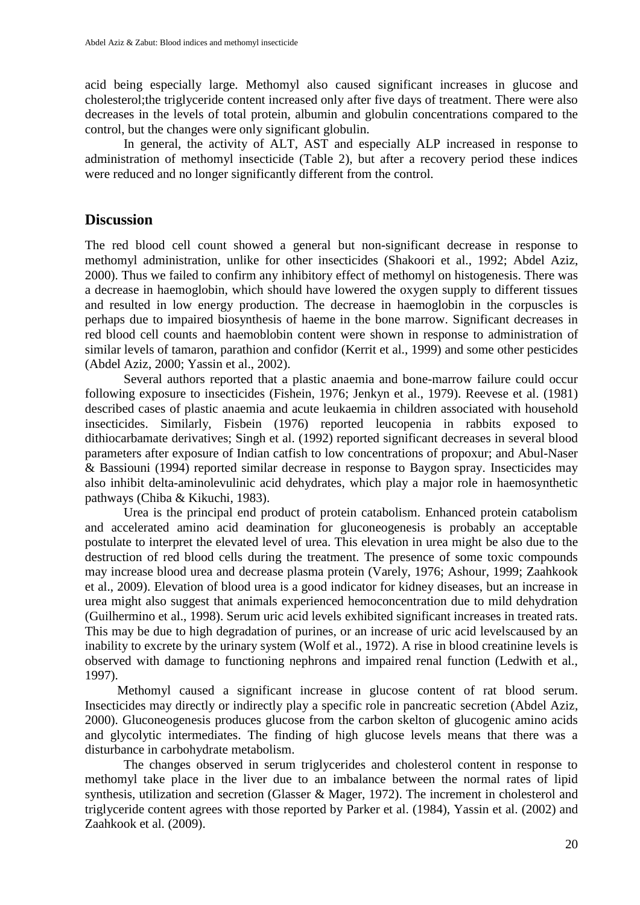acid being especially large. Methomyl also caused significant increases in glucose and cholesterol;the triglyceride content increased only after five days of treatment. There were also decreases in the levels of total protein, albumin and globulin concentrations compared to the control, but the changes were only significant globulin.

In general, the activity of ALT, AST and especially ALP increased in response to administration of methomyl insecticide (Table 2), but after a recovery period these indices were reduced and no longer significantly different from the control.

### **Discussion**

The red blood cell count showed a general but non-significant decrease in response to methomyl administration, unlike for other insecticides (Shakoori et al., 1992; Abdel Aziz, 2000). Thus we failed to confirm any inhibitory effect of methomyl on histogenesis. There was a decrease in haemoglobin, which should have lowered the oxygen supply to different tissues and resulted in low energy production. The decrease in haemoglobin in the corpuscles is perhaps due to impaired biosynthesis of haeme in the bone marrow. Significant decreases in red blood cell counts and haemoblobin content were shown in response to administration of similar levels of tamaron, parathion and confidor (Kerrit et al., 1999) and some other pesticides (Abdel Aziz, 2000; Yassin et al., 2002).

Several authors reported that a plastic anaemia and bone-marrow failure could occur following exposure to insecticides (Fishein, 1976; Jenkyn et al., 1979). Reevese et al. (1981) described cases of plastic anaemia and acute leukaemia in children associated with household insecticides. Similarly, Fisbein (1976) reported leucopenia in rabbits exposed to dithiocarbamate derivatives; Singh et al. (1992) reported significant decreases in several blood parameters after exposure of Indian catfish to low concentrations of propoxur; and Abul-Naser & Bassiouni (1994) reported similar decrease in response to Baygon spray. Insecticides may also inhibit delta-aminolevulinic acid dehydrates, which play a major role in haemosynthetic pathways (Chiba & Kikuchi, 1983).

Urea is the principal end product of protein catabolism. Enhanced protein catabolism and accelerated amino acid deamination for gluconeogenesis is probably an acceptable postulate to interpret the elevated level of urea. This elevation in urea might be also due to the destruction of red blood cells during the treatment. The presence of some toxic compounds may increase blood urea and decrease plasma protein (Varely, 1976; Ashour, 1999; Zaahkook et al., 2009). Elevation of blood urea is a good indicator for kidney diseases, but an increase in urea might also suggest that animals experienced hemoconcentration due to mild dehydration (Guilhermino et al., 1998). Serum uric acid levels exhibited significant increases in treated rats. This may be due to high degradation of purines, or an increase of uric acid levelscaused by an inability to excrete by the urinary system (Wolf et al., 1972). A rise in blood creatinine levels is observed with damage to functioning nephrons and impaired renal function (Ledwith et al., 1997).

 Methomyl caused a significant increase in glucose content of rat blood serum. Insecticides may directly or indirectly play a specific role in pancreatic secretion (Abdel Aziz, 2000). Gluconeogenesis produces glucose from the carbon skelton of glucogenic amino acids and glycolytic intermediates. The finding of high glucose levels means that there was a disturbance in carbohydrate metabolism.

The changes observed in serum triglycerides and cholesterol content in response to methomyl take place in the liver due to an imbalance between the normal rates of lipid synthesis, utilization and secretion (Glasser & Mager, 1972). The increment in cholesterol and triglyceride content agrees with those reported by Parker et al. (1984), Yassin et al. (2002) and Zaahkook et al. (2009).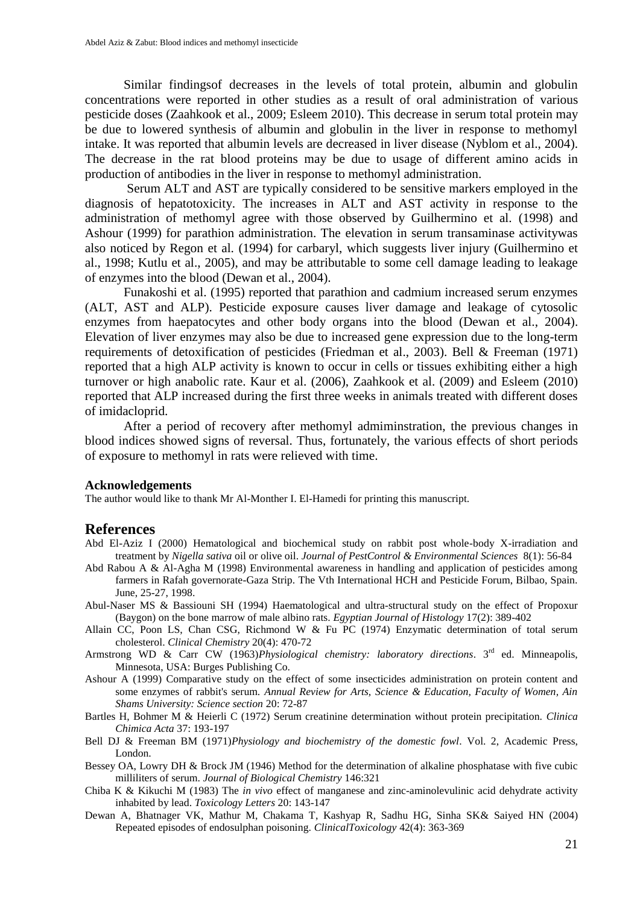Similar findingsof decreases in the levels of total protein, albumin and globulin concentrations were reported in other studies as a result of oral administration of various pesticide doses (Zaahkook et al., 2009; Esleem 2010). This decrease in serum total protein may be due to lowered synthesis of albumin and globulin in the liver in response to methomyl intake. It was reported that albumin levels are decreased in liver disease (Nyblom et al., 2004). The decrease in the rat blood proteins may be due to usage of different amino acids in production of antibodies in the liver in response to methomyl administration.

Serum ALT and AST are typically considered to be sensitive markers employed in the diagnosis of hepatotoxicity. The increases in ALT and AST activity in response to the administration of methomyl agree with those observed by Guilhermino et al. (1998) and Ashour (1999) for parathion administration. The elevation in serum transaminase activitywas also noticed by Regon et al. (1994) for carbaryl, which suggests liver injury (Guilhermino et al., 1998; Kutlu et al., 2005), and may be attributable to some cell damage leading to leakage of enzymes into the blood (Dewan et al., 2004).

Funakoshi et al. (1995) reported that parathion and cadmium increased serum enzymes (ALT, AST and ALP). Pesticide exposure causes liver damage and leakage of cytosolic enzymes from haepatocytes and other body organs into the blood (Dewan et al., 2004). Elevation of liver enzymes may also be due to increased gene expression due to the long-term requirements of detoxification of pesticides (Friedman et al., 2003). Bell & Freeman (1971) reported that a high ALP activity is known to occur in cells or tissues exhibiting either a high turnover or high anabolic rate. Kaur et al. (2006), Zaahkook et al. (2009) and Esleem (2010) reported that ALP increased during the first three weeks in animals treated with different doses of imidacloprid.

After a period of recovery after methomyl admiminstration, the previous changes in blood indices showed signs of reversal. Thus, fortunately, the various effects of short periods of exposure to methomyl in rats were relieved with time.

#### **Acknowledgements**

The author would like to thank Mr Al-Monther I. El-Hamedi for printing this manuscript.

#### **References**

- Abd El-Aziz I (2000) Hematological and biochemical study on rabbit post whole-body X-irradiation and treatment by *Nigella sativa* oil or olive oil. *Journal of PestControl & Environmental Sciences* 8(1): 56-84
- Abd Rabou A & Al-Agha M (1998) Environmental awareness in handling and application of pesticides among farmers in Rafah governorate-Gaza Strip. The Vth International HCH and Pesticide Forum, Bilbao, Spain. June, 25-27, 1998.
- Abul-Naser MS & Bassiouni SH (1994) Haematological and ultra-structural study on the effect of Propoxur (Baygon) on the bone marrow of male albino rats. *Egyptian Journal of Histology* 17(2): 389-402
- Allain CC, Poon LS, Chan CSG, Richmond W & Fu PC (1974) Enzymatic determination of total serum cholesterol. *Clinical Chemistry* 20(4): 470-72
- Armstrong WD & Carr CW (1963)*Physiological chemistry: laboratory directions*. 3rd ed. Minneapolis, Minnesota, USA: Burges Publishing Co.
- Ashour A (1999) Comparative study on the effect of some insecticides administration on protein content and some enzymes of rabbit's serum. *Annual Review for Arts, Science & Education, Faculty of Women, Ain Shams University: Science section* 20: 72-87
- Bartles H, Bohmer M & Heierli C (1972) Serum creatinine determination without protein precipitation. *Clinica Chimica Acta* 37: 193-197
- Bell DJ & Freeman BM (1971)*Physiology and biochemistry of the domestic fowl*. Vol. 2, Academic Press, London.
- Bessey OA, Lowry DH & Brock JM (1946) Method for the determination of alkaline phosphatase with five cubic milliliters of serum. *Journal of Biological Chemistry* 146:321
- Chiba K & Kikuchi M (1983) The *in vivo* effect of manganese and zinc-aminolevulinic acid dehydrate activity inhabited by lead. *Toxicology Letters* 20: 143-147
- Dewan A, Bhatnager VK, Mathur M, Chakama T, Kashyap R, Sadhu HG, Sinha SK& Saiyed HN (2004) Repeated episodes of endosulphan poisoning. *ClinicalToxicology* 42(4): 363-369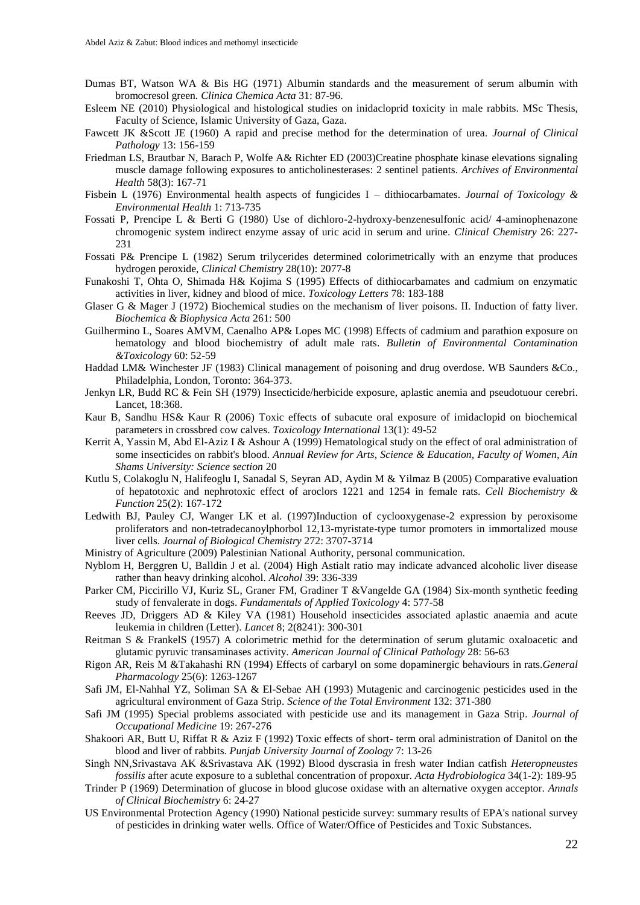- Dumas BT, Watson WA & Bis HG (1971) Albumin standards and the measurement of serum albumin with bromocresol green. *Clinica Chemica Acta* 31: 87-96.
- Esleem NE (2010) Physiological and histological studies on inidacloprid toxicity in male rabbits. MSc Thesis, Faculty of Science, Islamic University of Gaza, Gaza.
- Fawcett JK &Scott JE (1960) A rapid and precise method for the determination of urea. *Journal of Clinical Pathology* 13: 156-159
- Friedman LS, Brautbar N, Barach P, Wolfe A& Richter ED (2003)Creatine phosphate kinase elevations signaling muscle damage following exposures to anticholinesterases: 2 sentinel patients. *Archives of Environmental Health* 58(3): 167-71
- Fisbein L (1976) Environmental health aspects of fungicides I dithiocarbamates. *Journal of Toxicology & Environmental Health* 1: 713-735
- Fossati P, Prencipe L & Berti G (1980) Use of dichloro-2-hydroxy-benzenesulfonic acid/ 4-aminophenazone chromogenic system indirect enzyme assay of uric acid in serum and urine. *Clinical Chemistry* 26: 227- 231
- Fossati P& Prencipe L (1982) Serum trilycerides determined colorimetrically with an enzyme that produces hydrogen peroxide, *Clinical Chemistry* 28(10): 2077-8
- Funakoshi T, Ohta O, Shimada H& Kojima S (1995) Effects of dithiocarbamates and cadmium on enzymatic activities in liver, kidney and blood of mice. *Toxicology Letters* 78: 183-188
- Glaser G & Mager J (1972) Biochemical studies on the mechanism of liver poisons. II. Induction of fatty liver. *Biochemica & Biophysica Acta* 261: 500
- Guilhermino L, Soares AMVM, Caenalho AP& Lopes MC (1998) Effects of cadmium and parathion exposure on hematology and blood biochemistry of adult male rats. *Bulletin of Environmental Contamination &Toxicology* 60: 52-59
- Haddad LM& Winchester JF (1983) Clinical management of poisoning and drug overdose. WB Saunders &Co., Philadelphia, London, Toronto: 364-373.
- Jenkyn LR, Budd RC & Fein SH (1979) Insecticide/herbicide exposure, aplastic anemia and pseudotuour cerebri. Lancet, 18:368.
- Kaur B, Sandhu HS& Kaur R (2006) Toxic effects of subacute oral exposure of imidaclopid on biochemical parameters in crossbred cow calves. *Toxicology International* 13(1): 49-52
- Kerrit A, Yassin M, Abd El-Aziz I & Ashour A (1999) Hematological study on the effect of oral administration of some insecticides on rabbit's blood. *Annual Review for Arts, Science & Education, Faculty of Women, Ain Shams University: Science section* 20
- Kutlu S, Colakoglu N, Halifeoglu I, Sanadal S, Seyran AD, Aydin M & Yilmaz B (2005) Comparative evaluation of hepatotoxic and nephrotoxic effect of aroclors 1221 and 1254 in female rats. *Cell Biochemistry & Function* 25(2): 167-172
- Ledwith BJ, Pauley CJ, Wanger LK et al. (1997)Induction of cyclooxygenase-2 expression by peroxisome proliferators and non-tetradecanoylphorbol 12,13-myristate-type tumor promoters in immortalized mouse liver cells. *Journal of Biological Chemistry* 272: 3707-3714
- Ministry of Agriculture (2009) Palestinian National Authority, personal communication.
- Nyblom H, Berggren U, Balldin J et al. (2004) High Astialt ratio may indicate advanced alcoholic liver disease rather than heavy drinking alcohol. *Alcohol* 39: 336-339
- Parker CM, Piccirillo VJ, Kuriz SL, Graner FM, Gradiner T &Vangelde GA (1984) Six-month synthetic feeding study of fenvalerate in dogs. *Fundamentals of Applied Toxicology* 4: 577-58
- Reeves JD, Driggers AD & Kiley VA (1981) Household insecticides associated aplastic anaemia and acute leukemia in children (Letter). *Lancet* 8; 2(8241): 300-301
- Reitman S & FrankelS (1957) A colorimetric methid for the determination of serum glutamic oxaloacetic and glutamic pyruvic transaminases activity. *American Journal of Clinical Pathology* 28: 56-63
- Rigon AR, Reis M &Takahashi RN (1994) Effects of carbaryl on some dopaminergic behaviours in rats.*General Pharmacology* 25(6): 1263-1267
- Safi JM, El-Nahhal YZ, Soliman SA & El-Sebae AH (1993) Mutagenic and carcinogenic pesticides used in the agricultural environment of Gaza Strip. *Science of the Total Environment* 132: 371-380
- Safi JM (1995) Special problems associated with pesticide use and its management in Gaza Strip. *Journal of Occupational Medicine* 19: 267-276
- Shakoori AR, Butt U, Riffat R & Aziz F (1992) Toxic effects of short- term oral administration of Danitol on the blood and liver of rabbits. *Punjab University Journal of Zoology* 7: 13-26
- Singh NN,Srivastava AK &Srivastava AK (1992) Blood dyscrasia in fresh water Indian catfish *Heteropneustes fossilis* after acute exposure to a sublethal concentration of propoxur. *Acta Hydrobiologica* 34(1-2): 189-95
- Trinder P (1969) Determination of glucose in blood glucose oxidase with an alternative oxygen acceptor. *Annals of Clinical Biochemistry* 6: 24-27
- US Environmental Protection Agency (1990) National pesticide survey: summary results of EPA's national survey of pesticides in drinking water wells. Office of Water/Office of Pesticides and Toxic Substances.